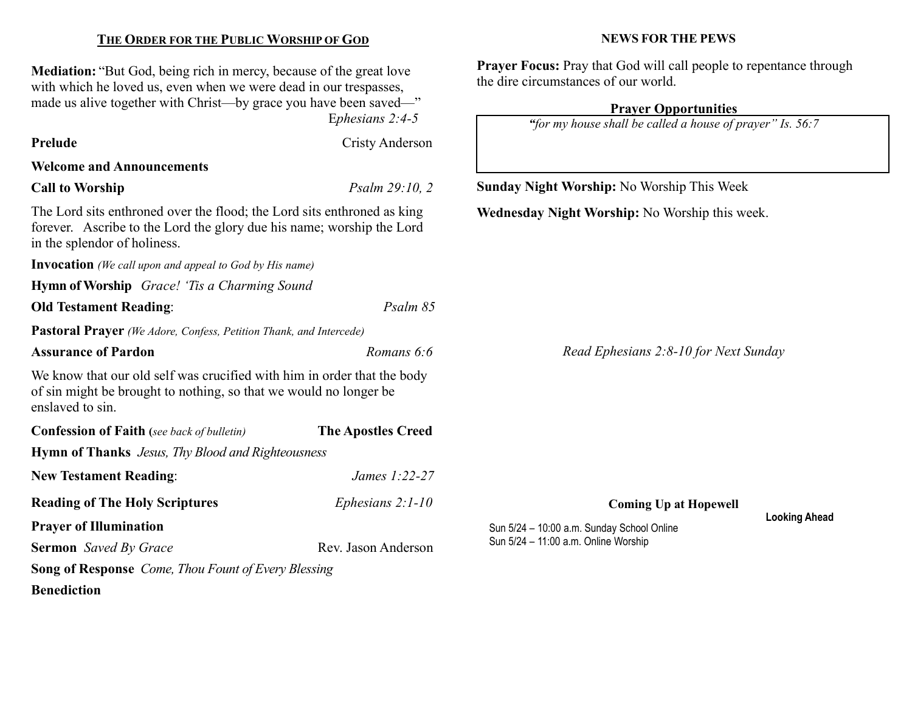| THE ORDER FOR THE PUBLIC WORSHIP OF GOD                                                                                                                                                                                                 |                           | <b>NEWS FOR THE PEWS</b>                                                                                                                                                                                      |  |  |
|-----------------------------------------------------------------------------------------------------------------------------------------------------------------------------------------------------------------------------------------|---------------------------|---------------------------------------------------------------------------------------------------------------------------------------------------------------------------------------------------------------|--|--|
| <b>Mediation:</b> "But God, being rich in mercy, because of the great love<br>with which he loved us, even when we were dead in our trespasses,<br>made us alive together with Christ—by grace you have been saved—"<br>Ephesians 2:4-5 |                           | <b>Prayer Focus:</b> Pray that God will call people to repentance through<br>the dire circumstances of our world.<br><b>Prayer Opportunities</b><br>"for my house shall be called a house of prayer" Is. 56:7 |  |  |
| Prelude                                                                                                                                                                                                                                 | <b>Cristy Anderson</b>    |                                                                                                                                                                                                               |  |  |
| <b>Welcome and Announcements</b>                                                                                                                                                                                                        |                           |                                                                                                                                                                                                               |  |  |
| <b>Call to Worship</b>                                                                                                                                                                                                                  | Psalm 29:10, 2            | Sunday Night Worship: No Worship This Week                                                                                                                                                                    |  |  |
| The Lord sits enthroned over the flood; the Lord sits enthroned as king<br>forever. Ascribe to the Lord the glory due his name; worship the Lord<br>in the splendor of holiness.                                                        |                           | Wednesday Night Worship: No Worship this week.                                                                                                                                                                |  |  |
| <b>Invocation</b> (We call upon and appeal to God by His name)                                                                                                                                                                          |                           |                                                                                                                                                                                                               |  |  |
| <b>Hymn of Worship</b> Grace! 'Tis a Charming Sound                                                                                                                                                                                     |                           |                                                                                                                                                                                                               |  |  |
| <b>Old Testament Reading:</b>                                                                                                                                                                                                           | Psalm 85                  |                                                                                                                                                                                                               |  |  |
| Pastoral Prayer (We Adore, Confess, Petition Thank, and Intercede)                                                                                                                                                                      |                           |                                                                                                                                                                                                               |  |  |
| <b>Assurance of Pardon</b>                                                                                                                                                                                                              | Romans 6:6                | Read Ephesians 2:8-10 for Next Sunday                                                                                                                                                                         |  |  |
| We know that our old self was crucified with him in order that the body<br>of sin might be brought to nothing, so that we would no longer be<br>enslaved to sin.                                                                        |                           |                                                                                                                                                                                                               |  |  |
| <b>Confession of Faith</b> (see back of bulletin)                                                                                                                                                                                       | <b>The Apostles Creed</b> |                                                                                                                                                                                                               |  |  |
| <b>Hymn of Thanks</b> Jesus, Thy Blood and Righteousness                                                                                                                                                                                |                           |                                                                                                                                                                                                               |  |  |
| <b>New Testament Reading:</b>                                                                                                                                                                                                           | James 1:22-27             |                                                                                                                                                                                                               |  |  |
| <b>Reading of The Holy Scriptures</b>                                                                                                                                                                                                   | Ephesians $2:1-10$        | <b>Coming Up at Hopewell</b>                                                                                                                                                                                  |  |  |
| <b>Prayer of Illumination</b>                                                                                                                                                                                                           |                           | <b>Looking Ahead</b><br>Sun 5/24 - 10:00 a.m. Sunday School Online<br>Sun 5/24 - 11:00 a.m. Online Worship                                                                                                    |  |  |
| <b>Sermon</b> Saved By Grace                                                                                                                                                                                                            | Rev. Jason Anderson       |                                                                                                                                                                                                               |  |  |
| <b>Song of Response</b> Come, Thou Fount of Every Blessing                                                                                                                                                                              |                           |                                                                                                                                                                                                               |  |  |
| <b>Benediction</b>                                                                                                                                                                                                                      |                           |                                                                                                                                                                                                               |  |  |